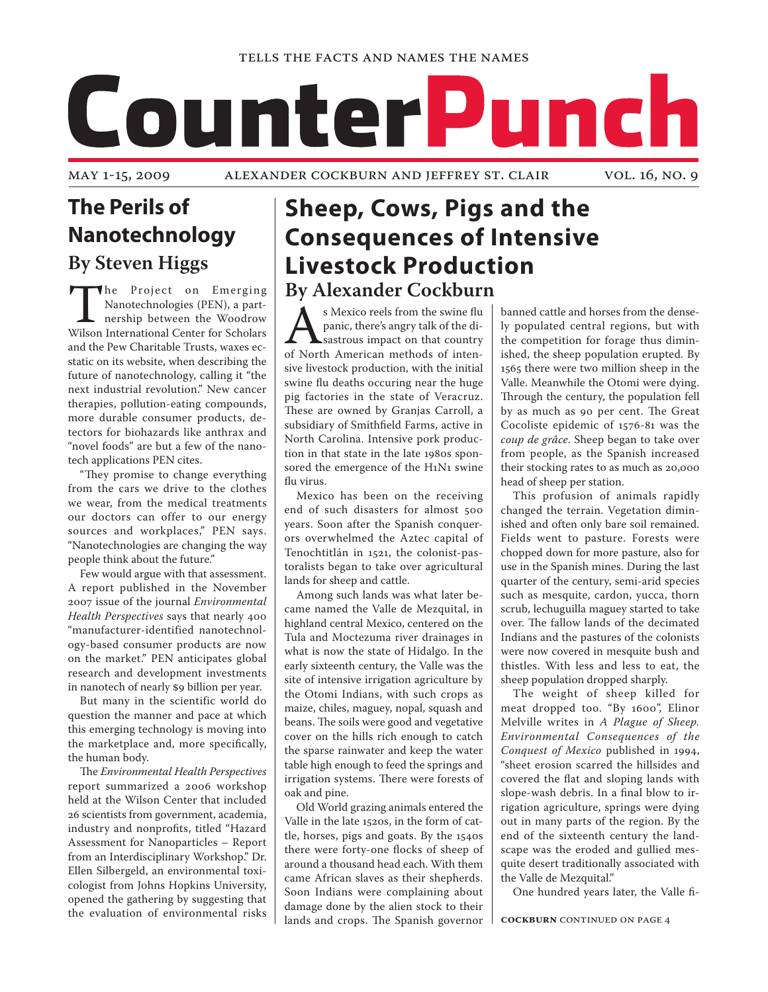# CounterPunch

May 1-15, 2009 Alexander Cockburn and Jeffrey St. Clair vol. 16, no. 9

## **The Perils of Nanotechnology By Steven Higgs**

The Project on Emerging **By Alexander Cockburn**<br>Nanotechnologies (PEN), a part-<br>A s Mexico reels from the swine flu Nanotechnologies (PEN), a partnership between the Woodrow Wilson International Center for Scholars and the Pew Charitable Trusts, waxes ecstatic on its website, when describing the future of nanotechnology, calling it "the next industrial revolution." New cancer therapies, pollution-eating compounds, more durable consumer products, detectors for biohazards like anthrax and "novel foods" are but a few of the nanotech applications PEN cites.

"They promise to change everything from the cars we drive to the clothes we wear, from the medical treatments our doctors can offer to our energy sources and workplaces," PEN says. "Nanotechnologies are changing the way people think about the future."

Few would argue with that assessment. A report published in the November 2007 issue of the journal *Environmental Health Perspectives* says that nearly 400 "manufacturer-identified nanotechnology-based consumer products are now on the market." PEN anticipates global research and development investments in nanotech of nearly \$9 billion per year.

But many in the scientific world do question the manner and pace at which this emerging technology is moving into the marketplace and, more specifically, the human body.

The *Environmental Health Perspectives* report summarized a 2006 workshop held at the Wilson Center that included 26 scientists from government, academia, industry and nonprofits, titled "Hazard Assessment for Nanoparticles – Report from an Interdisciplinary Workshop." Dr. Ellen Silbergeld, an environmental toxicologist from Johns Hopkins University, opened the gathering by suggesting that the evaluation of environmental risks

## **Sheep, Cows, Pigs and the Consequences of Intensive Livestock Production**

S Mexico reels from the swine flu<br>panic, there's angry talk of the di-<br>sastrous impact on that country<br>of North American methods of intenpanic, there's angry talk of the disastrous impact on that country sive livestock production, with the initial swine flu deaths occuring near the huge pig factories in the state of Veracruz. These are owned by Granjas Carroll, a subsidiary of Smithfield Farms, active in North Carolina. Intensive pork production in that state in the late 1980s sponsored the emergence of the H1N1 swine flu virus.

Mexico has been on the receiving end of such disasters for almost 500 years. Soon after the Spanish conquerors overwhelmed the Aztec capital of Tenochtitlán in 1521, the colonist-pastoralists began to take over agricultural lands for sheep and cattle.

Among such lands was what later became named the Valle de Mezquital, in highland central Mexico, centered on the Tula and Moctezuma river drainages in what is now the state of Hidalgo. In the early sixteenth century, the Valle was the site of intensive irrigation agriculture by the Otomi Indians, with such crops as maize, chiles, maguey, nopal, squash and beans. The soils were good and vegetative cover on the hills rich enough to catch the sparse rainwater and keep the water table high enough to feed the springs and irrigation systems. There were forests of oak and pine.

Old World grazing animals entered the Valle in the late 1520s, in the form of cattle, horses, pigs and goats. By the 1540s there were forty-one flocks of sheep of around a thousand head each. With them came African slaves as their shepherds. Soon Indians were complaining about damage done by the alien stock to their lands and crops. The Spanish governor

banned cattle and horses from the densely populated central regions, but with the competition for forage thus diminished, the sheep population erupted. By 1565 there were two million sheep in the Valle. Meanwhile the Otomi were dying. Through the century, the population fell by as much as 90 per cent. The Great Cocoliste epidemic of 1576-81 was the *coup de grâce*. Sheep began to take over from people, as the Spanish increased their stocking rates to as much as 20,000 head of sheep per station.

This profusion of animals rapidly changed the terrain. Vegetation diminished and often only bare soil remained. Fields went to pasture. Forests were chopped down for more pasture, also for use in the Spanish mines. During the last quarter of the century, semi-arid species such as mesquite, cardon, yucca, thorn scrub, lechuguilla maguey started to take over. The fallow lands of the decimated Indians and the pastures of the colonists were now covered in mesquite bush and thistles. With less and less to eat, the sheep population dropped sharply.

The weight of sheep killed for meat dropped too. "By 1600", Elinor Melville writes in *A Plague of Sheep. Environmental Consequences of the Conquest of Mexico* published in 1994, "sheet erosion scarred the hillsides and covered the flat and sloping lands with slope-wash debris. In a final blow to irrigation agriculture, springs were dying out in many parts of the region. By the end of the sixteenth century the landscape was the eroded and gullied mesquite desert traditionally associated with the Valle de Mezquital."

One hundred years later, the Valle fi-

**COCKBURN** CONTINUED ON PAGE 4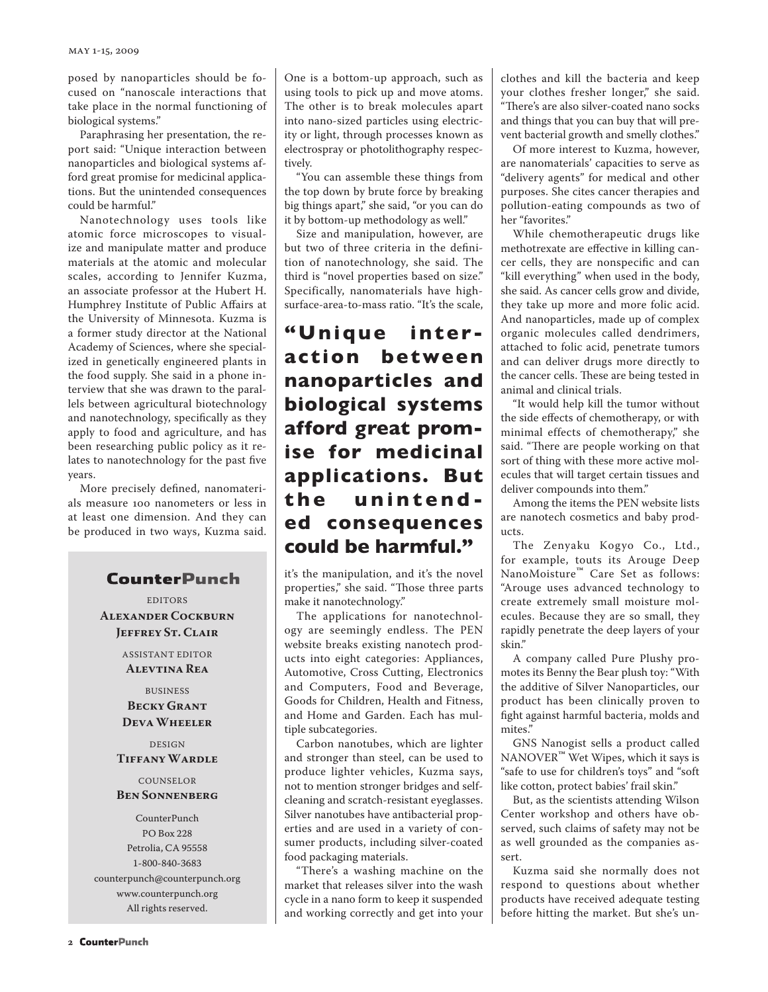posed by nanoparticles should be focused on "nanoscale interactions that take place in the normal functioning of biological systems."

Paraphrasing her presentation, the report said: "Unique interaction between nanoparticles and biological systems afford great promise for medicinal applications. But the unintended consequences could be harmful."

Nanotechnology uses tools like atomic force microscopes to visualize and manipulate matter and produce materials at the atomic and molecular scales, according to Jennifer Kuzma, an associate professor at the Hubert H. Humphrey Institute of Public Affairs at the University of Minnesota. Kuzma is a former study director at the National Academy of Sciences, where she specialized in genetically engineered plants in the food supply. She said in a phone interview that she was drawn to the parallels between agricultural biotechnology and nanotechnology, specifically as they apply to food and agriculture, and has been researching public policy as it relates to nanotechnology for the past five years.

More precisely defined, nanomaterials measure 100 nanometers or less in at least one dimension. And they can be produced in two ways, Kuzma said.

#### CounterPunch

EDITORS **Alexander Cockburn Jeffrey St. Clair**

> ASSISTANT EDITOR **Alevtina Rea**

BUSINESS **Becky Grant Deva Wheeler**

#### DESIGN **Tiffany Wardle**

#### **COUNSELOR Ben Sonnenberg**

CounterPunch PO Box 228 Petrolia, CA 95558 1-800-840-3683 counterpunch@counterpunch.org www.counterpunch.org All rights reserved.

One is a bottom-up approach, such as using tools to pick up and move atoms. The other is to break molecules apart into nano-sized particles using electricity or light, through processes known as electrospray or photolithography respectively.

"You can assemble these things from the top down by brute force by breaking big things apart," she said, "or you can do it by bottom-up methodology as well."

Size and manipulation, however, are but two of three criteria in the definition of nanotechnology, she said. The third is "novel properties based on size." Specifically, nanomaterials have highsurface-area-to-mass ratio. "It's the scale,

## **"Unique interaction between nanoparticles and biological systems afford great promise for medicinal applications. But t h e u n i n t e n d ed consequences could be harmful."**

it's the manipulation, and it's the novel properties," she said. "Those three parts make it nanotechnology."

The applications for nanotechnology are seemingly endless. The PEN website breaks existing nanotech products into eight categories: Appliances, Automotive, Cross Cutting, Electronics and Computers, Food and Beverage, Goods for Children, Health and Fitness, and Home and Garden. Each has multiple subcategories.

Carbon nanotubes, which are lighter and stronger than steel, can be used to produce lighter vehicles, Kuzma says, not to mention stronger bridges and selfcleaning and scratch-resistant eyeglasses. Silver nanotubes have antibacterial properties and are used in a variety of consumer products, including silver-coated food packaging materials.

"There's a washing machine on the market that releases silver into the wash cycle in a nano form to keep it suspended and working correctly and get into your clothes and kill the bacteria and keep your clothes fresher longer," she said. "There's are also silver-coated nano socks and things that you can buy that will prevent bacterial growth and smelly clothes."

Of more interest to Kuzma, however, are nanomaterials' capacities to serve as "delivery agents" for medical and other purposes. She cites cancer therapies and pollution-eating compounds as two of her "favorites."

While chemotherapeutic drugs like methotrexate are effective in killing cancer cells, they are nonspecific and can "kill everything" when used in the body, she said. As cancer cells grow and divide, they take up more and more folic acid. And nanoparticles, made up of complex organic molecules called dendrimers, attached to folic acid, penetrate tumors and can deliver drugs more directly to the cancer cells. These are being tested in animal and clinical trials.

"It would help kill the tumor without the side effects of chemotherapy, or with minimal effects of chemotherapy," she said. "There are people working on that sort of thing with these more active molecules that will target certain tissues and deliver compounds into them."

Among the items the PEN website lists are nanotech cosmetics and baby products.

The Zenyaku Kogyo Co., Ltd., for example, touts its Arouge Deep NanoMoisture<sup>™</sup> Care Set as follows: "Arouge uses advanced technology to create extremely small moisture molecules. Because they are so small, they rapidly penetrate the deep layers of your skin."

A company called Pure Plushy promotes its Benny the Bear plush toy: "With the additive of Silver Nanoparticles, our product has been clinically proven to fight against harmful bacteria, molds and mites."

GNS Nanogist sells a product called NANOVER™ Wet Wipes, which it says is "safe to use for children's toys" and "soft like cotton, protect babies' frail skin."

But, as the scientists attending Wilson Center workshop and others have observed, such claims of safety may not be as well grounded as the companies assert.

Kuzma said she normally does not respond to questions about whether products have received adequate testing before hitting the market. But she's un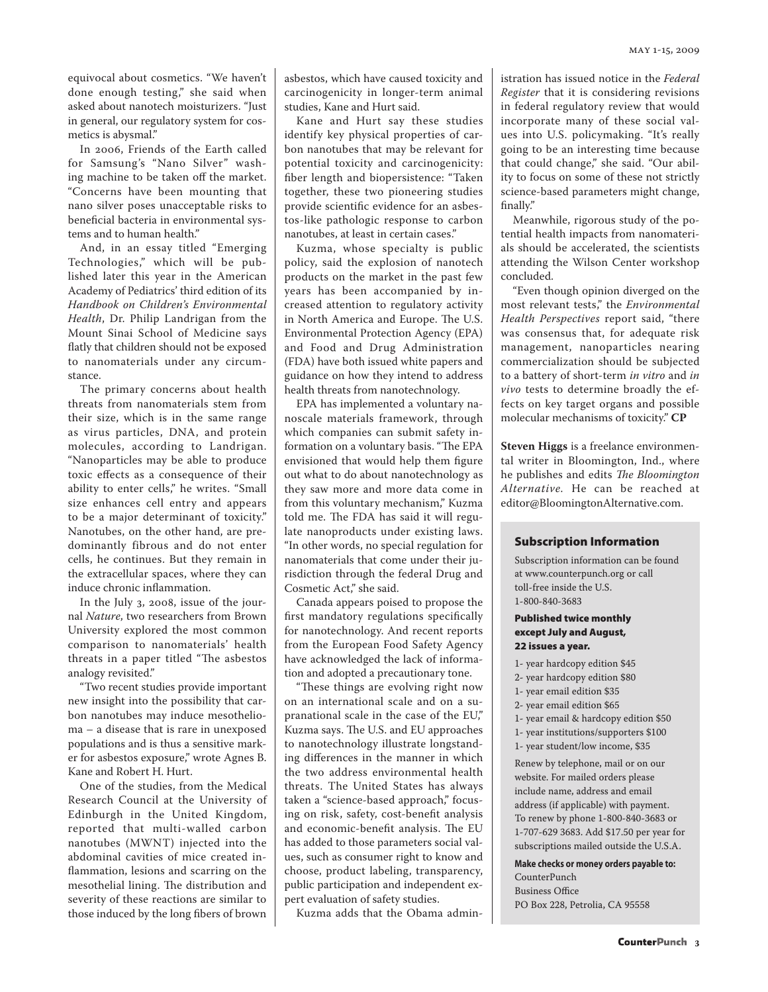equivocal about cosmetics. "We haven't done enough testing," she said when asked about nanotech moisturizers. "Just in general, our regulatory system for cosmetics is abysmal."

In 2006, Friends of the Earth called for Samsung's "Nano Silver" washing machine to be taken off the market. "Concerns have been mounting that nano silver poses unacceptable risks to beneficial bacteria in environmental systems and to human health."

And, in an essay titled "Emerging Technologies," which will be published later this year in the American Academy of Pediatrics' third edition of its *Handbook on Children's Environmental Health*, Dr. Philip Landrigan from the Mount Sinai School of Medicine says flatly that children should not be exposed to nanomaterials under any circumstance.

The primary concerns about health threats from nanomaterials stem from their size, which is in the same range as virus particles, DNA, and protein molecules, according to Landrigan. "Nanoparticles may be able to produce toxic effects as a consequence of their ability to enter cells," he writes. "Small size enhances cell entry and appears to be a major determinant of toxicity." Nanotubes, on the other hand, are predominantly fibrous and do not enter cells, he continues. But they remain in the extracellular spaces, where they can induce chronic inflammation.

In the July 3, 2008, issue of the journal *Nature*, two researchers from Brown University explored the most common comparison to nanomaterials' health threats in a paper titled "The asbestos analogy revisited."

"Two recent studies provide important new insight into the possibility that carbon nanotubes may induce mesothelioma – a disease that is rare in unexposed populations and is thus a sensitive marker for asbestos exposure," wrote Agnes B. Kane and Robert H. Hurt.

One of the studies, from the Medical Research Council at the University of Edinburgh in the United Kingdom, reported that multi-walled carbon nanotubes (MWNT) injected into the abdominal cavities of mice created inflammation, lesions and scarring on the mesothelial lining. The distribution and severity of these reactions are similar to those induced by the long fibers of brown asbestos, which have caused toxicity and carcinogenicity in longer-term animal studies, Kane and Hurt said.

Kane and Hurt say these studies identify key physical properties of carbon nanotubes that may be relevant for potential toxicity and carcinogenicity: fiber length and biopersistence: "Taken together, these two pioneering studies provide scientific evidence for an asbestos-like pathologic response to carbon nanotubes, at least in certain cases."

Kuzma, whose specialty is public policy, said the explosion of nanotech products on the market in the past few years has been accompanied by increased attention to regulatory activity in North America and Europe. The U.S. Environmental Protection Agency (EPA) and Food and Drug Administration (FDA) have both issued white papers and guidance on how they intend to address health threats from nanotechnology.

EPA has implemented a voluntary nanoscale materials framework, through which companies can submit safety information on a voluntary basis. "The EPA envisioned that would help them figure out what to do about nanotechnology as they saw more and more data come in from this voluntary mechanism," Kuzma told me. The FDA has said it will regulate nanoproducts under existing laws. "In other words, no special regulation for nanomaterials that come under their jurisdiction through the federal Drug and Cosmetic Act," she said.

Canada appears poised to propose the first mandatory regulations specifically for nanotechnology. And recent reports from the European Food Safety Agency have acknowledged the lack of information and adopted a precautionary tone.

"These things are evolving right now on an international scale and on a supranational scale in the case of the EU," Kuzma says. The U.S. and EU approaches to nanotechnology illustrate longstanding differences in the manner in which the two address environmental health threats. The United States has always taken a "science-based approach," focusing on risk, safety, cost-benefit analysis and economic-benefit analysis. The EU has added to those parameters social values, such as consumer right to know and choose, product labeling, transparency, public participation and independent expert evaluation of safety studies.

Kuzma adds that the Obama admin-

istration has issued notice in the *Federal Register* that it is considering revisions in federal regulatory review that would incorporate many of these social values into U.S. policymaking. "It's really going to be an interesting time because that could change," she said. "Our ability to focus on some of these not strictly science-based parameters might change, finally."

Meanwhile, rigorous study of the potential health impacts from nanomaterials should be accelerated, the scientists attending the Wilson Center workshop concluded.

"Even though opinion diverged on the most relevant tests," the *Environmental Health Perspectives* report said, "there was consensus that, for adequate risk management, nanoparticles nearing commercialization should be subjected to a battery of short-term *in vitro* and *in vivo* tests to determine broadly the effects on key target organs and possible molecular mechanisms of toxicity." **CP**

**Steven Higgs** is a freelance environmental writer in Bloomington, Ind., where he publishes and edits *The Bloomington Alternative.* He can be reached at editor@BloomingtonAlternative.com.

#### Subscription Information

Subscription information can be found at www.counterpunch.org or call toll-free inside the U.S. 1-800-840-3683

#### Published twice monthly except July and August, 22 issues a year.

- 1- year hardcopy edition \$45
- 2- year hardcopy edition \$80
- 1- year email edition \$35
- 2- year email edition \$65
- 1- year email & hardcopy edition \$50
- 1- year institutions/supporters \$100
- 1- year student/low income, \$35

Renew by telephone, mail or on our website. For mailed orders please include name, address and email address (if applicable) with payment. To renew by phone 1-800-840-3683 or 1-707-629 3683. Add \$17.50 per year for subscriptions mailed outside the U.S.A.

**Make checks or money orders payable to:** 

CounterPunch Business Office PO Box 228, Petrolia, CA 95558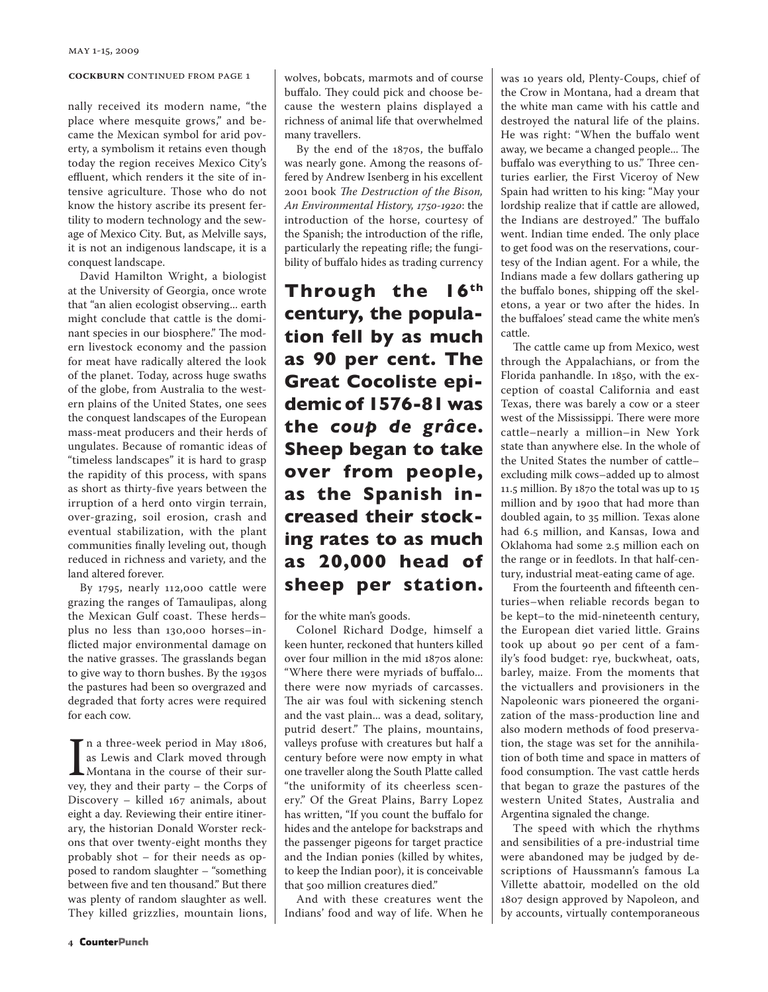#### **COCKBURN** CONTINUED FROM PAGE 1

nally received its modern name, "the place where mesquite grows," and became the Mexican symbol for arid poverty, a symbolism it retains even though today the region receives Mexico City's effluent, which renders it the site of intensive agriculture. Those who do not know the history ascribe its present fertility to modern technology and the sewage of Mexico City. But, as Melville says, it is not an indigenous landscape, it is a conquest landscape.

David Hamilton Wright, a biologist at the University of Georgia, once wrote that "an alien ecologist observing... earth might conclude that cattle is the dominant species in our biosphere." The modern livestock economy and the passion for meat have radically altered the look of the planet. Today, across huge swaths of the globe, from Australia to the western plains of the United States, one sees the conquest landscapes of the European mass-meat producers and their herds of ungulates. Because of romantic ideas of "timeless landscapes" it is hard to grasp the rapidity of this process, with spans as short as thirty-five years between the irruption of a herd onto virgin terrain, over-grazing, soil erosion, crash and eventual stabilization, with the plant communities finally leveling out, though reduced in richness and variety, and the land altered forever.

By 1795, nearly 112,000 cattle were grazing the ranges of Tamaulipas, along the Mexican Gulf coast. These herds– plus no less than 130,000 horses–inflicted major environmental damage on the native grasses. The grasslands began to give way to thorn bushes. By the 1930s the pastures had been so overgrazed and degraded that forty acres were required for each cow.

 $\prod_{\text{vey},\text{}}$ n a three-week period in May 1806, as Lewis and Clark moved through Montana in the course of their survey, they and their party – the Corps of Discovery – killed 167 animals, about eight a day. Reviewing their entire itinerary, the historian Donald Worster reckons that over twenty-eight months they probably shot – for their needs as opposed to random slaughter – "something between five and ten thousand." But there was plenty of random slaughter as well. They killed grizzlies, mountain lions, wolves, bobcats, marmots and of course buffalo. They could pick and choose because the western plains displayed a richness of animal life that overwhelmed many travellers.

By the end of the 1870s, the buffalo was nearly gone. Among the reasons offered by Andrew Isenberg in his excellent 2001 book *The Destruction of the Bison, An Environmental History, 1750-1920*: the introduction of the horse, courtesy of the Spanish; the introduction of the rifle, particularly the repeating rifle; the fungibility of buffalo hides as trading currency

**Through the 16th century, the population fell by as much as 90 per cent. The Great Cocoliste epidemic of 1576-81 was the** *coup de grâce***. Sheep began to take over from people, as the Spanish increased their stocking rates to as much as 20,000 head of sheep per station.**

for the white man's goods.

Colonel Richard Dodge, himself a keen hunter, reckoned that hunters killed over four million in the mid 1870s alone: "Where there were myriads of buffalo... there were now myriads of carcasses. The air was foul with sickening stench and the vast plain... was a dead, solitary, putrid desert." The plains, mountains, valleys profuse with creatures but half a century before were now empty in what one traveller along the South Platte called "the uniformity of its cheerless scenery." Of the Great Plains, Barry Lopez has written, "If you count the buffalo for hides and the antelope for backstraps and the passenger pigeons for target practice and the Indian ponies (killed by whites, to keep the Indian poor), it is conceivable that 500 million creatures died."

And with these creatures went the Indians' food and way of life. When he was 10 years old, Plenty-Coups, chief of the Crow in Montana, had a dream that the white man came with his cattle and destroyed the natural life of the plains. He was right: "When the buffalo went away, we became a changed people... The buffalo was everything to us." Three centuries earlier, the First Viceroy of New Spain had written to his king: "May your lordship realize that if cattle are allowed, the Indians are destroyed." The buffalo went. Indian time ended. The only place to get food was on the reservations, courtesy of the Indian agent. For a while, the Indians made a few dollars gathering up the buffalo bones, shipping off the skeletons, a year or two after the hides. In the buffaloes' stead came the white men's cattle.

The cattle came up from Mexico, west through the Appalachians, or from the Florida panhandle. In 1850, with the exception of coastal California and east Texas, there was barely a cow or a steer west of the Mississippi. There were more cattle–nearly a million–in New York state than anywhere else. In the whole of the United States the number of cattle– excluding milk cows–added up to almost 11.5 million. By 1870 the total was up to 15 million and by 1900 that had more than doubled again, to 35 million. Texas alone had 6.5 million, and Kansas, Iowa and Oklahoma had some 2.5 million each on the range or in feedlots. In that half-century, industrial meat-eating came of age.

From the fourteenth and fifteenth centuries–when reliable records began to be kept–to the mid-nineteenth century, the European diet varied little. Grains took up about 90 per cent of a family's food budget: rye, buckwheat, oats, barley, maize. From the moments that the victuallers and provisioners in the Napoleonic wars pioneered the organization of the mass-production line and also modern methods of food preservation, the stage was set for the annihilation of both time and space in matters of food consumption. The vast cattle herds that began to graze the pastures of the western United States, Australia and Argentina signaled the change.

The speed with which the rhythms and sensibilities of a pre-industrial time were abandoned may be judged by descriptions of Haussmann's famous La Villette abattoir, modelled on the old 1807 design approved by Napoleon, and by accounts, virtually contemporaneous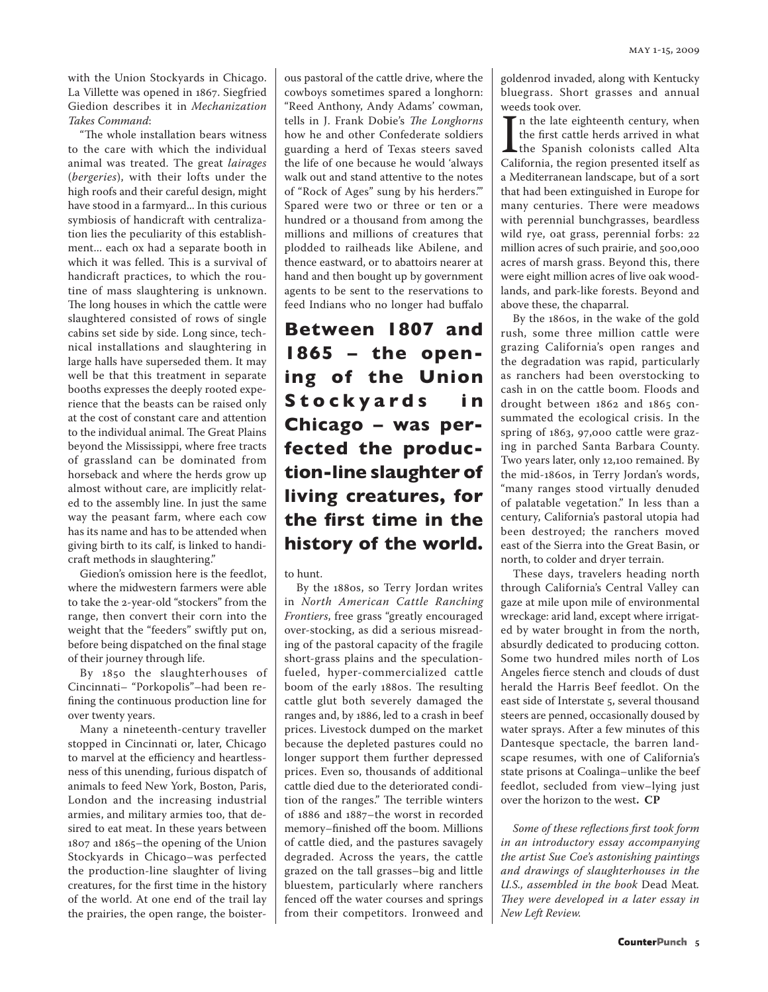with the Union Stockyards in Chicago. La Villette was opened in 1867. Siegfried Giedion describes it in *Mechanization Takes Command*:

"The whole installation bears witness to the care with which the individual animal was treated. The great *lairages* (*bergeries*), with their lofts under the high roofs and their careful design, might have stood in a farmyard... In this curious symbiosis of handicraft with centralization lies the peculiarity of this establishment... each ox had a separate booth in which it was felled. This is a survival of handicraft practices, to which the routine of mass slaughtering is unknown. The long houses in which the cattle were slaughtered consisted of rows of single cabins set side by side. Long since, technical installations and slaughtering in large halls have superseded them. It may well be that this treatment in separate booths expresses the deeply rooted experience that the beasts can be raised only at the cost of constant care and attention to the individual animal. The Great Plains beyond the Mississippi, where free tracts of grassland can be dominated from horseback and where the herds grow up almost without care, are implicitly related to the assembly line. In just the same way the peasant farm, where each cow has its name and has to be attended when giving birth to its calf, is linked to handicraft methods in slaughtering."

Giedion's omission here is the feedlot, where the midwestern farmers were able to take the 2-year-old "stockers" from the range, then convert their corn into the weight that the "feeders" swiftly put on, before being dispatched on the final stage of their journey through life.

By 1850 the slaughterhouses of Cincinnati– "Porkopolis"–had been refining the continuous production line for over twenty years.

Many a nineteenth-century traveller stopped in Cincinnati or, later, Chicago to marvel at the efficiency and heartlessness of this unending, furious dispatch of animals to feed New York, Boston, Paris, London and the increasing industrial armies, and military armies too, that desired to eat meat. In these years between 1807 and 1865–the opening of the Union Stockyards in Chicago–was perfected the production-line slaughter of living creatures, for the first time in the history of the world. At one end of the trail lay the prairies, the open range, the boisterous pastoral of the cattle drive, where the cowboys sometimes spared a longhorn: "Reed Anthony, Andy Adams' cowman, tells in J. Frank Dobie's *The Longhorns* how he and other Confederate soldiers guarding a herd of Texas steers saved the life of one because he would 'always walk out and stand attentive to the notes of "Rock of Ages" sung by his herders.'" Spared were two or three or ten or a hundred or a thousand from among the millions and millions of creatures that plodded to railheads like Abilene, and thence eastward, or to abattoirs nearer at hand and then bought up by government agents to be sent to the reservations to feed Indians who no longer had buffalo

## **Between 1807 and 1865 – the opening of the Union Stockyards** in **Chicago – was perfected the production-line slaughter of living creatures, for the first time in the history of the world.**

to hunt.

By the 1880s, so Terry Jordan writes in *North American Cattle Ranching Frontiers*, free grass "greatly encouraged over-stocking, as did a serious misreading of the pastoral capacity of the fragile short-grass plains and the speculationfueled, hyper-commercialized cattle boom of the early 1880s. The resulting cattle glut both severely damaged the ranges and, by 1886, led to a crash in beef prices. Livestock dumped on the market because the depleted pastures could no longer support them further depressed prices. Even so, thousands of additional cattle died due to the deteriorated condition of the ranges." The terrible winters of 1886 and 1887–the worst in recorded memory–finished off the boom. Millions of cattle died, and the pastures savagely degraded. Across the years, the cattle grazed on the tall grasses–big and little bluestem, particularly where ranchers fenced off the water courses and springs from their competitors. Ironweed and goldenrod invaded, along with Kentucky bluegrass. Short grasses and annual weeds took over.

 $\prod_{\text{Cali}}$ n the late eighteenth century, when the first cattle herds arrived in what the Spanish colonists called Alta California, the region presented itself as a Mediterranean landscape, but of a sort that had been extinguished in Europe for many centuries. There were meadows with perennial bunchgrasses, beardless wild rye, oat grass, perennial forbs: 22 million acres of such prairie, and 500,000 acres of marsh grass. Beyond this, there were eight million acres of live oak woodlands, and park-like forests. Beyond and above these, the chaparral.

By the 1860s, in the wake of the gold rush, some three million cattle were grazing California's open ranges and the degradation was rapid, particularly as ranchers had been overstocking to cash in on the cattle boom. Floods and drought between 1862 and 1865 consummated the ecological crisis. In the spring of 1863, 97,000 cattle were grazing in parched Santa Barbara County. Two years later, only 12,100 remained. By the mid-1860s, in Terry Jordan's words, "many ranges stood virtually denuded of palatable vegetation." In less than a century, California's pastoral utopia had been destroyed; the ranchers moved east of the Sierra into the Great Basin, or north, to colder and dryer terrain.

These days, travelers heading north through California's Central Valley can gaze at mile upon mile of environmental wreckage: arid land, except where irrigated by water brought in from the north, absurdly dedicated to producing cotton. Some two hundred miles north of Los Angeles fierce stench and clouds of dust herald the Harris Beef feedlot. On the east side of Interstate 5, several thousand steers are penned, occasionally doused by water sprays. After a few minutes of this Dantesque spectacle, the barren landscape resumes, with one of California's state prisons at Coalinga–unlike the beef feedlot, secluded from view–lying just over the horizon to the west**. CP**

*Some of these reflections first took form in an introductory essay accompanying the artist Sue Coe's astonishing paintings and drawings of slaughterhouses in the U.S., assembled in the book* Dead Meat*. They were developed in a later essay in New Left Review.*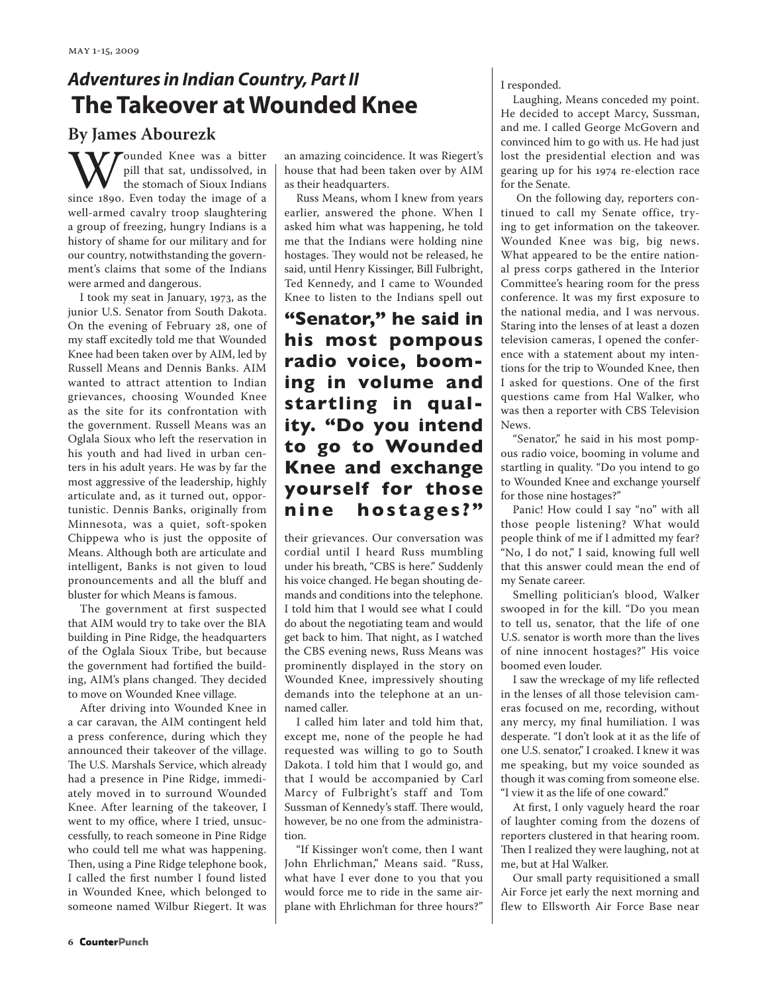## *Adventures in Indian Country, Part II*  **The Takeover at Wounded Knee**

#### **By James Abourezk**

Wounded Knee was a bitter<br>the stomach of Sioux Indians<br>since 1890. Even today the image of a pill that sat, undissolved, in the stomach of Sioux Indians well-armed cavalry troop slaughtering a group of freezing, hungry Indians is a history of shame for our military and for our country, notwithstanding the government's claims that some of the Indians were armed and dangerous.

I took my seat in January, 1973, as the junior U.S. Senator from South Dakota. On the evening of February 28, one of my staff excitedly told me that Wounded Knee had been taken over by AIM, led by Russell Means and Dennis Banks. AIM wanted to attract attention to Indian grievances, choosing Wounded Knee as the site for its confrontation with the government. Russell Means was an Oglala Sioux who left the reservation in his youth and had lived in urban centers in his adult years. He was by far the most aggressive of the leadership, highly articulate and, as it turned out, opportunistic. Dennis Banks, originally from Minnesota, was a quiet, soft-spoken Chippewa who is just the opposite of Means. Although both are articulate and intelligent, Banks is not given to loud pronouncements and all the bluff and bluster for which Means is famous.

The government at first suspected that AIM would try to take over the BIA building in Pine Ridge, the headquarters of the Oglala Sioux Tribe, but because the government had fortified the building, AIM's plans changed. They decided to move on Wounded Knee village.

After driving into Wounded Knee in a car caravan, the AIM contingent held a press conference, during which they announced their takeover of the village. The U.S. Marshals Service, which already had a presence in Pine Ridge, immediately moved in to surround Wounded Knee. After learning of the takeover, I went to my office, where I tried, unsuccessfully, to reach someone in Pine Ridge who could tell me what was happening. Then, using a Pine Ridge telephone book, I called the first number I found listed in Wounded Knee, which belonged to someone named Wilbur Riegert. It was an amazing coincidence. It was Riegert's house that had been taken over by AIM as their headquarters.

Russ Means, whom I knew from years earlier, answered the phone. When I asked him what was happening, he told me that the Indians were holding nine hostages. They would not be released, he said, until Henry Kissinger, Bill Fulbright, Ted Kennedy, and I came to Wounded Knee to listen to the Indians spell out

## **"Senator," he said in his most pompous radio voice, booming in volume and startling in quality. "Do you intend to go to Wounded Knee and exchange yourself for those nine hosta ges?"**

their grievances. Our conversation was cordial until I heard Russ mumbling under his breath, "CBS is here." Suddenly his voice changed. He began shouting demands and conditions into the telephone. I told him that I would see what I could do about the negotiating team and would get back to him. That night, as I watched the CBS evening news, Russ Means was prominently displayed in the story on Wounded Knee, impressively shouting demands into the telephone at an unnamed caller.

I called him later and told him that, except me, none of the people he had requested was willing to go to South Dakota. I told him that I would go, and that I would be accompanied by Carl Marcy of Fulbright's staff and Tom Sussman of Kennedy's staff. There would, however, be no one from the administration.

"If Kissinger won't come, then I want John Ehrlichman," Means said. "Russ, what have I ever done to you that you would force me to ride in the same airplane with Ehrlichman for three hours?"

I responded.

Laughing, Means conceded my point. He decided to accept Marcy, Sussman, and me. I called George McGovern and convinced him to go with us. He had just lost the presidential election and was gearing up for his 1974 re-election race for the Senate.

 On the following day, reporters continued to call my Senate office, trying to get information on the takeover. Wounded Knee was big, big news. What appeared to be the entire national press corps gathered in the Interior Committee's hearing room for the press conference. It was my first exposure to the national media, and I was nervous. Staring into the lenses of at least a dozen television cameras, I opened the conference with a statement about my intentions for the trip to Wounded Knee, then I asked for questions. One of the first questions came from Hal Walker, who was then a reporter with CBS Television News.

"Senator," he said in his most pompous radio voice, booming in volume and startling in quality. "Do you intend to go to Wounded Knee and exchange yourself for those nine hostages?"

Panic! How could I say "no" with all those people listening? What would people think of me if I admitted my fear? "No, I do not," I said, knowing full well that this answer could mean the end of my Senate career.

Smelling politician's blood, Walker swooped in for the kill. "Do you mean to tell us, senator, that the life of one U.S. senator is worth more than the lives of nine innocent hostages?" His voice boomed even louder.

I saw the wreckage of my life reflected in the lenses of all those television cameras focused on me, recording, without any mercy, my final humiliation. I was desperate. "I don't look at it as the life of one U.S. senator," I croaked. I knew it was me speaking, but my voice sounded as though it was coming from someone else. "I view it as the life of one coward."

At first, I only vaguely heard the roar of laughter coming from the dozens of reporters clustered in that hearing room. Then I realized they were laughing, not at me, but at Hal Walker.

Our small party requisitioned a small Air Force jet early the next morning and flew to Ellsworth Air Force Base near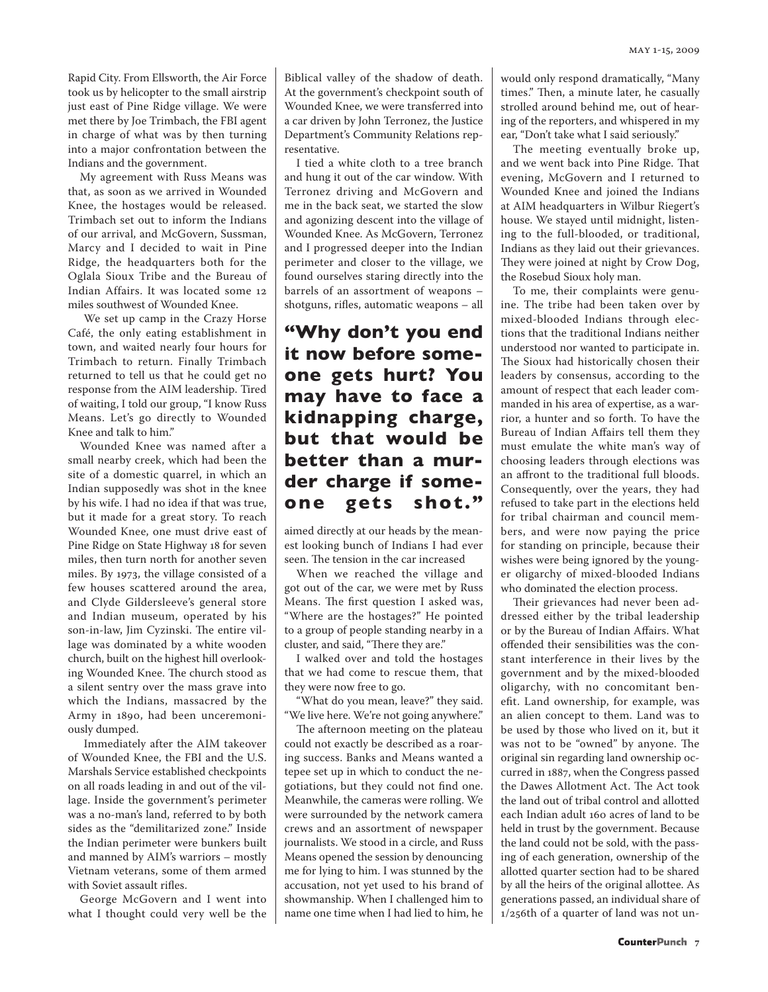Rapid City. From Ellsworth, the Air Force took us by helicopter to the small airstrip just east of Pine Ridge village. We were met there by Joe Trimbach, the FBI agent in charge of what was by then turning into a major confrontation between the Indians and the government.

My agreement with Russ Means was that, as soon as we arrived in Wounded Knee, the hostages would be released. Trimbach set out to inform the Indians of our arrival, and McGovern, Sussman, Marcy and I decided to wait in Pine Ridge, the headquarters both for the Oglala Sioux Tribe and the Bureau of Indian Affairs. It was located some 12 miles southwest of Wounded Knee.

 We set up camp in the Crazy Horse Café, the only eating establishment in town, and waited nearly four hours for Trimbach to return. Finally Trimbach returned to tell us that he could get no response from the AIM leadership. Tired of waiting, I told our group, "I know Russ Means. Let's go directly to Wounded Knee and talk to him."

Wounded Knee was named after a small nearby creek, which had been the site of a domestic quarrel, in which an Indian supposedly was shot in the knee by his wife. I had no idea if that was true, but it made for a great story. To reach Wounded Knee, one must drive east of Pine Ridge on State Highway 18 for seven miles, then turn north for another seven miles. By 1973, the village consisted of a few houses scattered around the area, and Clyde Gildersleeve's general store and Indian museum, operated by his son-in-law, Jim Cyzinski. The entire village was dominated by a white wooden church, built on the highest hill overlooking Wounded Knee. The church stood as a silent sentry over the mass grave into which the Indians, massacred by the Army in 1890, had been unceremoniously dumped.

 Immediately after the AIM takeover of Wounded Knee, the FBI and the U.S. Marshals Service established checkpoints on all roads leading in and out of the village. Inside the government's perimeter was a no-man's land, referred to by both sides as the "demilitarized zone." Inside the Indian perimeter were bunkers built and manned by AIM's warriors – mostly Vietnam veterans, some of them armed with Soviet assault rifles.

George McGovern and I went into what I thought could very well be the Biblical valley of the shadow of death. At the government's checkpoint south of Wounded Knee, we were transferred into a car driven by John Terronez, the Justice Department's Community Relations representative.

I tied a white cloth to a tree branch and hung it out of the car window. With Terronez driving and McGovern and me in the back seat, we started the slow and agonizing descent into the village of Wounded Knee. As McGovern, Terronez and I progressed deeper into the Indian perimeter and closer to the village, we found ourselves staring directly into the barrels of an assortment of weapons – shotguns, rifles, automatic weapons – all

## **"Why don't you end it now before someone gets hurt? You may have to face a kidnapping charge, but that would be better than a murder charge if someone gets shot."**

aimed directly at our heads by the meanest looking bunch of Indians I had ever seen. The tension in the car increased

When we reached the village and got out of the car, we were met by Russ Means. The first question I asked was, "Where are the hostages?" He pointed to a group of people standing nearby in a cluster, and said, "There they are."

I walked over and told the hostages that we had come to rescue them, that they were now free to go.

"What do you mean, leave?" they said. "We live here. We're not going anywhere."

The afternoon meeting on the plateau could not exactly be described as a roaring success. Banks and Means wanted a tepee set up in which to conduct the negotiations, but they could not find one. Meanwhile, the cameras were rolling. We were surrounded by the network camera crews and an assortment of newspaper journalists. We stood in a circle, and Russ Means opened the session by denouncing me for lying to him. I was stunned by the accusation, not yet used to his brand of showmanship. When I challenged him to name one time when I had lied to him, he would only respond dramatically, "Many times." Then, a minute later, he casually strolled around behind me, out of hearing of the reporters, and whispered in my ear, "Don't take what I said seriously."

The meeting eventually broke up, and we went back into Pine Ridge. That evening, McGovern and I returned to Wounded Knee and joined the Indians at AIM headquarters in Wilbur Riegert's house. We stayed until midnight, listening to the full-blooded, or traditional, Indians as they laid out their grievances. They were joined at night by Crow Dog, the Rosebud Sioux holy man.

To me, their complaints were genuine. The tribe had been taken over by mixed-blooded Indians through elections that the traditional Indians neither understood nor wanted to participate in. The Sioux had historically chosen their leaders by consensus, according to the amount of respect that each leader commanded in his area of expertise, as a warrior, a hunter and so forth. To have the Bureau of Indian Affairs tell them they must emulate the white man's way of choosing leaders through elections was an affront to the traditional full bloods. Consequently, over the years, they had refused to take part in the elections held for tribal chairman and council members, and were now paying the price for standing on principle, because their wishes were being ignored by the younger oligarchy of mixed-blooded Indians who dominated the election process.

Their grievances had never been addressed either by the tribal leadership or by the Bureau of Indian Affairs. What offended their sensibilities was the constant interference in their lives by the government and by the mixed-blooded oligarchy, with no concomitant benefit. Land ownership, for example, was an alien concept to them. Land was to be used by those who lived on it, but it was not to be "owned" by anyone. The original sin regarding land ownership occurred in 1887, when the Congress passed the Dawes Allotment Act. The Act took the land out of tribal control and allotted each Indian adult 160 acres of land to be held in trust by the government. Because the land could not be sold, with the passing of each generation, ownership of the allotted quarter section had to be shared by all the heirs of the original allottee. As generations passed, an individual share of 1/256th of a quarter of land was not un